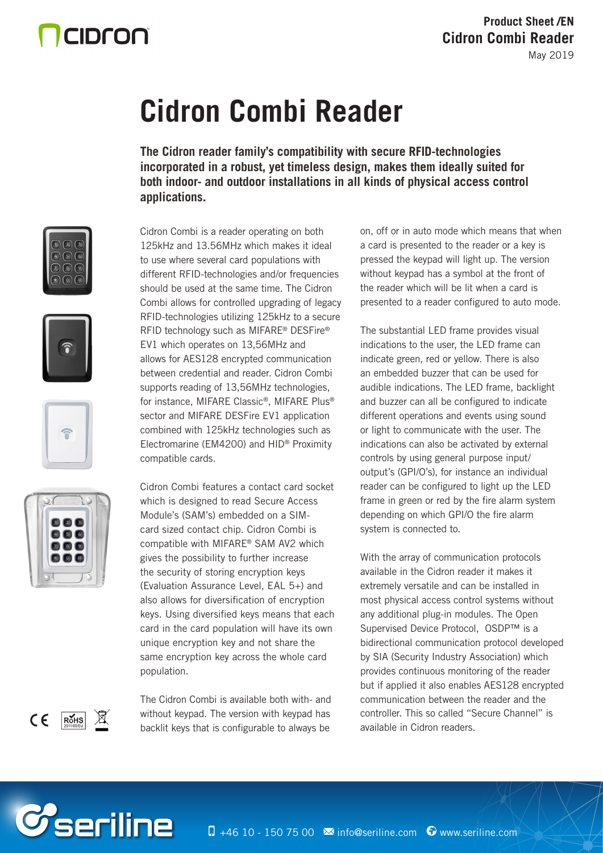## CIDron

# **Cidron Combi Reader**

**The Cidron reader family's compatibility with secure RFID-technologies incorporated in a robust, yet timeless design, makes them ideally suited for both indoor- and outdoor installations in all kinds of physical access control applications.**









Cidron Combi is a reader operating on both 125kHz and 13.56MHz which makes it ideal to use where several card populations with different RFID-technologies and/or frequencies should be used at the same time. The Cidron Combi allows for controlled upgrading of legacy RFID-technologies utilizing 125kHz to a secure RFID technology such as MIFARE® DESFire® EV1 which operates on 13,56MHz and allows for AES128 encrypted communication between credential and reader. Cidron Combi supports reading of 13,56MHz technologies, for instance, MIFARE Classic®, MIFARE Plus® sector and MIFARE DESFire EV1 application combined with 125kHz technologies such as Electromarine (EM4200) and HID® Proximity compatible cards.

Cidron Combi features a contact card socket which is designed to read Secure Access Module's (SAM's) embedded on a SIMcard sized contact chip. Cidron Combi is compatible with MIFARE® SAM AV2 which gives the possibility to further increase the security of storing encryption keys (Evaluation Assurance Level, EAL 5+) and also allows for diversification of encryption keys. Using diversified keys means that each card in the card population will have its own unique encryption key and not share the same encryption key across the whole card population.

The Cidron Combi is available both with- and without keypad. The version with keypad has backlit keys that is configurable to always be

on, off or in auto mode which means that when a card is presented to the reader or a key is pressed the keypad will light up. The version without keypad has a symbol at the front of the reader which will be lit when a card is presented to a reader configured to auto mode.

The substantial LED frame provides visual indications to the user, the LED frame can indicate green, red or yellow. There is also an embedded buzzer that can be used for audible indications. The LED frame, backlight and buzzer can all be configured to indicate different operations and events using sound or light to communicate with the user. The indications can also be activated by external controls by using general purpose input/ output's (GPI/O's), for instance an individual reader can be configured to light up the LED frame in green or red by the fire alarm system depending on which GPI/O the fire alarm system is connected to.

With the array of communication protocols available in the Cidron reader it makes it extremely versatile and can be installed in most physical access control systems without any additional plug-in modules. The Open Supervised Device Protocol, OSDP™ is a bidirectional communication protocol developed by SIA (Security Industry Association) which provides continuous monitoring of the reader but if applied it also enables AES128 encrypted communication between the reader and the controller. This so called "Secure Channel" is available in Cidron readers.



*C*seriline